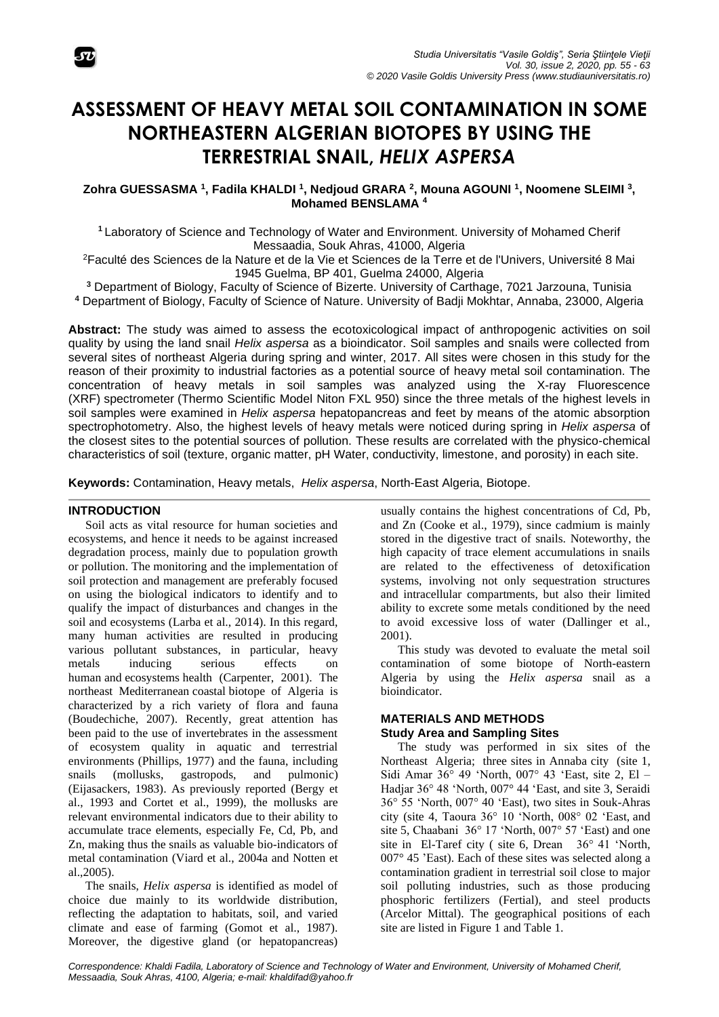

# **ASSESSMENT OF HEAVY METAL SOIL CONTAMINATION IN SOME NORTHEASTERN ALGERIAN BIOTOPES BY USING THE TERRESTRIAL SNAIL,** *HELIX ASPERSA*

**Zohra GUESSASMA <sup>1</sup> , Fadila KHALDI <sup>1</sup> , Nedjoud GRARA <sup>2</sup> , Mouna AGOUNI <sup>1</sup> , Noomene SLEIMI <sup>3</sup> , Mohamed BENSLAMA <sup>4</sup>**

**<sup>1</sup>** Laboratory of Science and Technology of Water and Environment. University of Mohamed Cherif Messaadia, Souk Ahras, 41000, Algeria

<sup>2</sup>Faculté des Sciences de la Nature et de la Vie et Sciences de la Terre et de l'Univers, Université 8 Mai 1945 Guelma, BP 401, Guelma 24000, Algeria

**<sup>3</sup>** Department of Biology, Faculty of Science of Bizerte. University of Carthage, 7021 Jarzouna, Tunisia **<sup>4</sup>** Department of Biology, Faculty of Science of Nature. University of Badji Mokhtar, Annaba, 23000, Algeria

**Abstract:** The study was aimed to assess the ecotoxicological impact of anthropogenic activities on soil quality by using the land snail *Helix aspersa* as a bioindicator. Soil samples and snails were collected from several sites of northeast Algeria during spring and winter, 2017. All sites were chosen in this study for the reason of their proximity to industrial factories as a potential source of heavy metal soil contamination. The concentration of heavy metals in soil samples was analyzed using the X-ray Fluorescence (XRF) spectrometer (Thermo Scientific Model Niton FXL 950) since the three metals of the highest levels in soil samples were examined in *Helix aspersa* hepatopancreas and feet by means of the atomic absorption spectrophotometry. Also, the highest levels of heavy metals were noticed during spring in *Helix aspersa* of the closest sites to the potential sources of pollution. These results are correlated with the physico-chemical characteristics of soil (texture, organic matter, pH Water, conductivity, limestone, and porosity) in each site.

**Keywords:** Contamination, Heavy metals, *Helix aspersa*, North-East Algeria, Biotope.

# **INTRODUCTION**

Soil acts as vital resource for human societies and ecosystems, and hence it needs to be against increased degradation process, mainly due to population growth or pollution. The monitoring and the implementation of soil protection and management are preferably focused on using the biological indicators to identify and to qualify the impact of disturbances and changes in the soil and ecosystems (Larba et al., 2014). In this regard, many human activities are resulted in producing various pollutant substances, in particular, heavy metals inducing serious effects on human and ecosystems health (Carpenter, 2001). The northeast Mediterranean coastal biotope of Algeria is characterized by a rich variety of flora and fauna (Boudechiche, 2007). Recently, great attention has been paid to the use of invertebrates in the assessment of ecosystem quality in aquatic and terrestrial environments (Phillips, 1977) and the fauna, including snails (mollusks, gastropods, and pulmonic) (Eijasackers, 1983). As previously reported (Bergy et al., 1993 and Cortet et al., 1999), the mollusks are relevant environmental indicators due to their ability to accumulate trace elements, especially Fe, Cd, Pb, and Zn, making thus the snails as valuable bio-indicators of metal contamination (Viard et al., 2004a and Notten et al.,2005).

The snails, *Helix aspersa* is identified as model of choice due mainly to its worldwide distribution, reflecting the adaptation to habitats, soil, and varied climate and ease of farming (Gomot et al., 1987). Moreover, the digestive gland (or hepatopancreas)

usually contains the highest concentrations of Cd, Pb, and Zn (Cooke et al., 1979), since cadmium is mainly stored in the digestive tract of snails. Noteworthy, the high capacity of trace element accumulations in snails are related to the effectiveness of detoxification systems, involving not only sequestration structures and intracellular compartments, but also their limited ability to excrete some metals conditioned by the need to avoid excessive loss of water (Dallinger et al., 2001).

This study was devoted to evaluate the metal soil contamination of some biotope of North-eastern Algeria by using the *Helix aspersa* snail as a bioindicator.

# **MATERIALS AND METHODS Study Area and Sampling Sites**

The study was performed in six sites of the Northeast Algeria; three sites in Annaba city (site 1, Sidi Amar 36° 49 'North, 007° 43 'East, site 2, El – Hadjar 36° 48 'North, 007° 44 'East, and site 3, Seraidi 36° 55 'North, 007° 40 'East), two sites in Souk-Ahras city (site 4, Taoura 36° 10 'North, 008° 02 'East, and site 5, Chaabani 36° 17 'North, 007° 57 'East) and one site in El-Taref city ( site 6, Drean 36° 41 'North, 007° 45 'East). Each of these sites was selected along a contamination gradient in terrestrial soil close to major soil polluting industries, such as those producing phosphoric fertilizers (Fertial), and steel products (Arcelor Mittal). The geographical positions of each site are listed in Figure 1 and Table 1.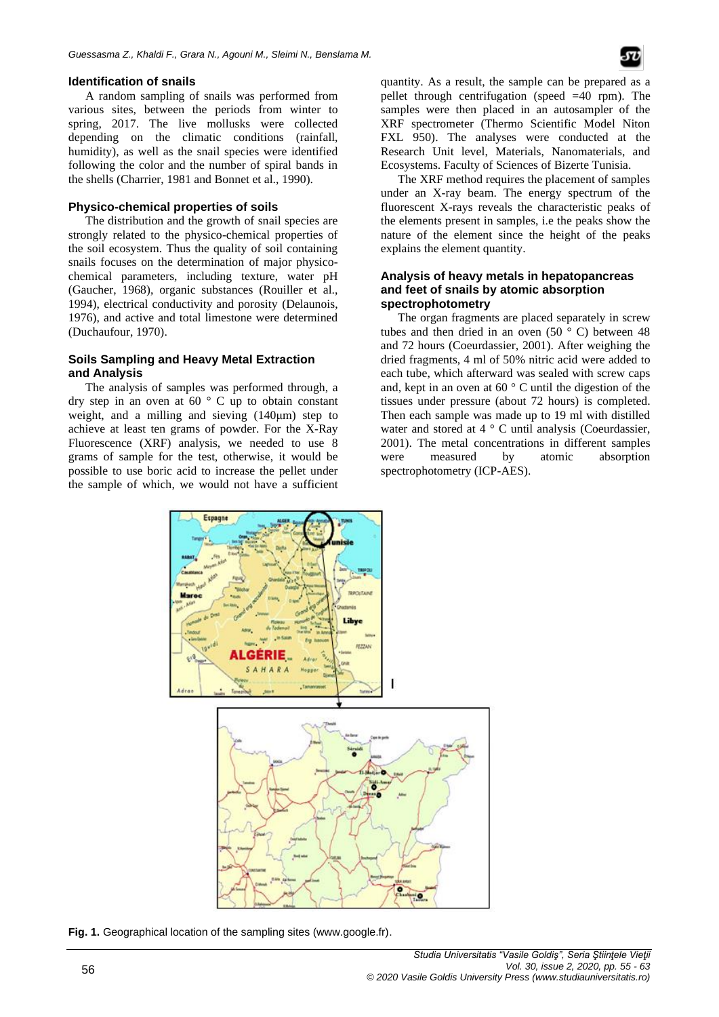## **Identification of snails**

A random sampling of snails was performed from various sites, between the periods from winter to spring, 2017. The live mollusks were collected depending on the climatic conditions (rainfall, humidity), as well as the snail species were identified following the color and the number of spiral bands in the shells (Charrier, 1981 and Bonnet et al., 1990).

## **Physico-chemical properties of soils**

The distribution and the growth of snail species are strongly related to the physico-chemical properties of the soil ecosystem. Thus the quality of soil containing snails focuses on the determination of major physicochemical parameters, including texture, water pH (Gaucher, 1968), organic substances (Rouiller et al., 1994), electrical conductivity and porosity (Delaunois, 1976), and active and total limestone were determined (Duchaufour, 1970).

# **Soils Sampling and Heavy Metal Extraction and Analysis**

The analysis of samples was performed through, a dry step in an oven at 60 ° C up to obtain constant weight, and a milling and sieving (140μm) step to achieve at least ten grams of powder. For the X-Ray Fluorescence (XRF) analysis, we needed to use 8 grams of sample for the test, otherwise, it would be possible to use boric acid to increase the pellet under the sample of which, we would not have a sufficient quantity. As a result, the sample can be prepared as a pellet through centrifugation (speed =40 rpm). The samples were then placed in an autosampler of the XRF spectrometer (Thermo Scientific Model Niton FXL 950). The analyses were conducted at the Research Unit level, Materials, Nanomaterials, and Ecosystems. Faculty of Sciences of Bizerte Tunisia.

The XRF method requires the placement of samples under an X-ray beam. The energy spectrum of the fluorescent X-rays reveals the characteristic peaks of the elements present in samples, i.e the peaks show the nature of the element since the height of the peaks explains the element quantity.

## **Analysis of heavy metals in hepatopancreas and feet of snails by atomic absorption spectrophotometry**

The organ fragments are placed separately in screw tubes and then dried in an oven  $(50 \circ C)$  between 48 and 72 hours (Coeurdassier, 2001). After weighing the dried fragments, 4 ml of 50% nitric acid were added to each tube, which afterward was sealed with screw caps and, kept in an oven at 60 ° C until the digestion of the tissues under pressure (about 72 hours) is completed. Then each sample was made up to 19 ml with distilled water and stored at 4 ° C until analysis (Coeurdassier, 2001). The metal concentrations in different samples were measured by atomic absorption spectrophotometry (ICP-AES).



**Fig. 1.** Geographical location of the sampling sites (www.google.fr).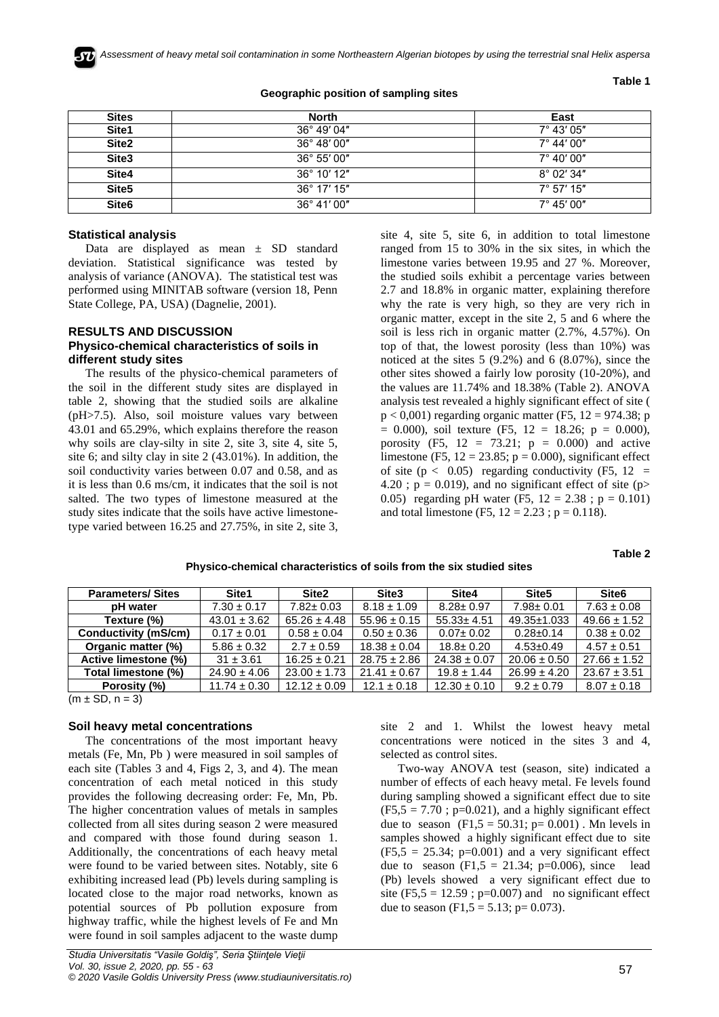

| <b>Sites</b>      | <b>North</b>          | East                |
|-------------------|-----------------------|---------------------|
| Site1             | $36^{\circ}$ 49' 04"  | $7^{\circ}$ 43' 05" |
| Site <sub>2</sub> | 36° 48' 00"           | $7^{\circ}$ 44' 00" |
| Site3             | $36^{\circ} 55' 00''$ | $7^{\circ}$ 40' 00" |
| Site4             | $36^{\circ}$ 10' 12"  | $8^{\circ}$ 02' 34" |
| Site <sub>5</sub> | $36^{\circ}$ 17' 15"  | $7^{\circ}$ 57' 15" |
| Site <sub>6</sub> | $36^{\circ}$ 41' 00"  | $7^{\circ}$ 45' 00" |

### **Geographic position of sampling sites**

#### **Table 1**

## **Statistical analysis**

Data are displayed as mean ± SD standard deviation. Statistical significance was tested by analysis of variance (ANOVA). The statistical test was performed using MINITAB software (version 18, Penn State College, PA, USA) (Dagnelie, 2001).

## **RESULTS AND DISCUSSION Physico-chemical characteristics of soils in different study sites**

The results of the physico-chemical parameters of the soil in the different study sites are displayed in table 2, showing that the studied soils are alkaline (pH>7.5). Also, soil moisture values vary between 43.01 and 65.29%, which explains therefore the reason why soils are clay-silty in site 2, site 3, site 4, site 5, site 6; and silty clay in site 2 (43.01%). In addition, the soil conductivity varies between 0.07 and 0.58, and as it is less than 0.6 ms/cm, it indicates that the soil is not salted. The two types of limestone measured at the study sites indicate that the soils have active limestonetype varied between 16.25 and 27.75%, in site 2, site 3,

site 4, site 5, site 6, in addition to total limestone ranged from 15 to 30% in the six sites, in which the limestone varies between 19.95 and 27 %. Moreover, the studied soils exhibit a percentage varies between 2.7 and 18.8% in organic matter, explaining therefore why the rate is very high, so they are very rich in organic matter, except in the site 2, 5 and 6 where the soil is less rich in organic matter (2.7%, 4.57%). On top of that, the lowest porosity (less than 10%) was noticed at the sites 5 (9.2%) and 6 (8.07%), since the other sites showed a fairly low porosity (10-20%), and the values are 11.74% and 18.38% (Table 2). ANOVA analysis test revealed a highly significant effect of site (  $p < 0,001$ ) regarding organic matter (F5, 12 = 974.38; p  $= 0.000$ , soil texture (F5, 12 = 18.26; p = 0.000), porosity (F5,  $12 = 73.21$ ;  $p = 0.000$ ) and active limestone (F5,  $12 = 23.85$ ;  $p = 0.000$ ), significant effect of site ( $p < 0.05$ ) regarding conductivity (F5, 12 = 4.20;  $p = 0.019$ , and no significant effect of site (p> 0.05) regarding pH water (F5,  $12 = 2.38$ ;  $p = 0.101$ ) and total limestone (F5,  $12 = 2.23$ ;  $p = 0.118$ ).

|  |  |  | Physico-chemical characteristics of soils from the six studied sites |
|--|--|--|----------------------------------------------------------------------|
|--|--|--|----------------------------------------------------------------------|

| <b>Parameters/Sites</b> | Site1            | Site2            | Site <sub>3</sub> | Site4            | Site <sub>5</sub> | Site <sub>6</sub> |
|-------------------------|------------------|------------------|-------------------|------------------|-------------------|-------------------|
| pH water                | $7.30 \pm 0.17$  | $7.82 \pm 0.03$  | $8.18 \pm 1.09$   | $8.28 \pm 0.97$  | $7.98 \pm 0.01$   | $7.63 \pm 0.08$   |
| Texture (%)             | $43.01 \pm 3.62$ | $65.26 \pm 4.48$ | $55.96 \pm 0.15$  | $55.33 \pm 4.51$ | 49.35±1.033       | $49.66 \pm 1.52$  |
| Conductivity (mS/cm)    | $0.17 \pm 0.01$  | $0.58 \pm 0.04$  | $0.50 \pm 0.36$   | $0.07 \pm 0.02$  | $0.28 \pm 0.14$   | $0.38 \pm 0.02$   |
| Organic matter (%)      | $5.86 \pm 0.32$  | $2.7 \pm 0.59$   | $18.38 \pm 0.04$  | $18.8 \pm 0.20$  | $4.53 \pm 0.49$   | $4.57 \pm 0.51$   |
| Active limestone (%)    | $31 \pm 3.61$    | $16.25 \pm 0.21$ | $28.75 \pm 2.86$  | $24.38 \pm 0.07$ | $20.06 \pm 0.50$  | $27.66 \pm 1.52$  |
| Total limestone (%)     | $24.90 \pm 4.06$ | $23.00 \pm 1.73$ | $21.41 \pm 0.67$  | $19.8 \pm 1.44$  | $26.99 \pm 4.20$  | $23.67 \pm 3.51$  |
| Porosity (%)            | $11.74 \pm 0.30$ | $12.12 \pm 0.09$ | $12.1 \pm 0.18$   | $12.30 \pm 0.10$ | $9.2 \pm 0.79$    | $8.07 \pm 0.18$   |

 $(m \pm SD, n = 3)$ 

#### **Soil heavy metal concentrations**

The concentrations of the most important heavy metals (Fe, Mn, Pb ) were measured in soil samples of each site (Tables 3 and 4, Figs 2, 3, and 4). The mean concentration of each metal noticed in this study provides the following decreasing order: Fe, Mn, Pb. The higher concentration values of metals in samples collected from all sites during season 2 were measured and compared with those found during season 1. Additionally, the concentrations of each heavy metal were found to be varied between sites. Notably, site 6 exhibiting increased lead (Pb) levels during sampling is located close to the major road networks, known as potential sources of Pb pollution exposure from highway traffic, while the highest levels of Fe and Mn were found in soil samples adjacent to the waste dump

site 2 and 1. Whilst the lowest heavy metal concentrations were noticed in the sites 3 and 4, selected as control sites.

Two-way ANOVA test (season, site) indicated a number of effects of each heavy metal. Fe levels found during sampling showed a significant effect due to site  $(F5,5 = 7.70$ ;  $p=0.021$ ), and a highly significant effect due to season  $(F1,5 = 50.31; p = 0.001)$ . Mn levels in samples showed a highly significant effect due to site  $(F5,5 = 25.34; p=0.001)$  and a very significant effect due to season  $(F1,5 = 21.34; p=0.006)$ , since lead (Pb) levels showed a very significant effect due to site (F5,5 = 12.59 ; p=0.007) and no significant effect due to season (F1,5 = 5.13; p= 0.073).

**Table 2**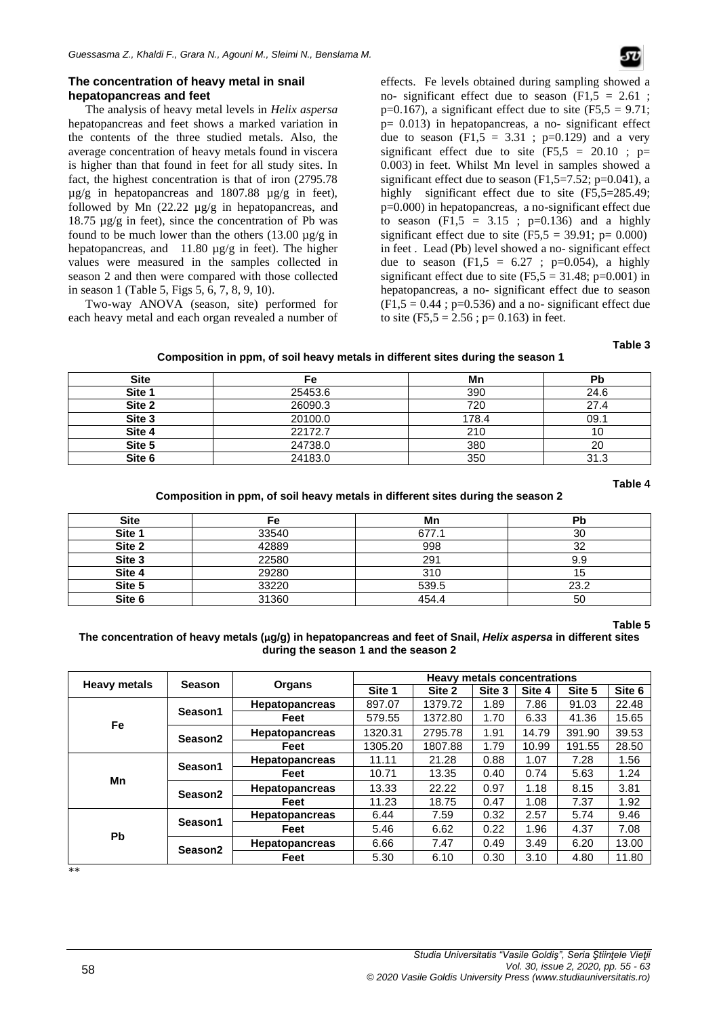# **The concentration of heavy metal in snail hepatopancreas and feet**

The analysis of heavy metal levels in *Helix aspersa* hepatopancreas and feet shows a marked variation in the contents of the three studied metals. Also, the average concentration of heavy metals found in viscera is higher than that found in feet for all study sites. In fact, the highest concentration is that of iron (2795.78  $\mu$ g/g in hepatopancreas and 1807.88  $\mu$ g/g in feet), followed by Mn (22.22 µg/g in hepatopancreas, and  $18.75 \mu g/g$  in feet), since the concentration of Pb was found to be much lower than the others  $(13.00 \text{ µg/g in})$ hepatopancreas, and 11.80  $\mu$ g/g in feet). The higher values were measured in the samples collected in season 2 and then were compared with those collected in season 1 (Table [5, Figs 5, 6, 7, 8, 9, 10\).](#page-3-0) 

Two-way ANOVA (season, site) performed for each heavy metal and each organ revealed a number of effects. Fe levels obtained during sampling showed a no- significant effect due to season  $(F1,5 = 2.61)$ ;  $p=0.167$ ), a significant effect due to site (F5,5 = 9.71; p= 0.013) in hepatopancreas, a no- significant effect due to season  $(F1,5 = 3.31 ; p=0.129)$  and a very significant effect due to site  $(F5,5 = 20.10 ; p=$ 0.003) in feet. Whilst Mn level in samples showed a significant effect due to season  $(F1, 5=7.52; p=0.041)$ , a highly significant effect due to site (F5,5=285.49; p=0.000) in hepatopancreas, a no-significant effect due to season  $(F1,5 = 3.15 ; p=0.136)$  and a highly significant effect due to site  $(F5,5 = 39.91; p = 0.000)$ in feet . Lead (Pb) level showed a no- significant effect due to season (F1,5 =  $6.27$ ; p=0.054), a highly significant effect due to site  $(F5,5 = 31.48; p=0.001)$  in hepatopancreas, a no- significant effect due to season  $(F1,5 = 0.44$ ; p=0.536) and a no- significant effect due to site  $(F5,5 = 2.56$ ;  $p= 0.163$ ) in feet.

#### **Table 3**

## **Composition in ppm, of soil heavy metals in different sites during the season 1**

| <b>Site</b> | Fe      | Mn    | Рb   |
|-------------|---------|-------|------|
| Site 1      | 25453.6 | 390   | 24.6 |
| Site 2      | 26090.3 | 720   | 27.4 |
| Site 3      | 20100.0 | 178.4 | 09.1 |
| Site 4      | 22172.7 | 210   | 10   |
| Site 5      | 24738.0 | 380   | 20   |
| Site 6      | 24183.0 | 350   | 31.3 |

#### **Table 4**

# **Composition in ppm, of soil heavy metals in different sites during the season 2**

| <b>Site</b> | Fe    | Mn    | <b>Pb</b> |
|-------------|-------|-------|-----------|
| Site 1      | 33540 | 677.1 | 30        |
| Site 2      | 42889 | 998   | 32        |
| Site 3      | 22580 | 291   | 9.9       |
| Site 4      | 29280 | 310   | 15        |
| Site 5      | 33220 | 539.5 | 23.2      |
| Site 6      | 31360 | 454.4 | 50        |

#### **Table 5**

## **The concentration of heavy metals (µg/g) in hepatopancreas and feet of Snail,** *Helix aspersa* **in different sites during the season 1 and the season 2**

| <b>Heavy metals</b> | <b>Season</b>       |                       | <b>Heavy metals concentrations</b> |         |        |        |        |        |
|---------------------|---------------------|-----------------------|------------------------------------|---------|--------|--------|--------|--------|
|                     |                     | Organs                | Site 1                             | Site 2  | Site 3 | Site 4 | Site 5 | Site 6 |
| Fe                  | Season1             | <b>Hepatopancreas</b> | 897.07                             | 1379.72 | 1.89   | 7.86   | 91.03  | 22.48  |
|                     |                     | Feet                  | 579.55                             | 1372.80 | 1.70   | 6.33   | 41.36  | 15.65  |
|                     | Season2             | <b>Hepatopancreas</b> | 1320.31                            | 2795.78 | 1.91   | 14.79  | 391.90 | 39.53  |
|                     |                     | Feet                  | 1305.20                            | 1807.88 | 1.79   | 10.99  | 191.55 | 28.50  |
| Mn                  | Season1             | Hepatopancreas        | 11.11                              | 21.28   | 0.88   | 1.07   | 7.28   | 1.56   |
|                     |                     | Feet                  | 10.71                              | 13.35   | 0.40   | 0.74   | 5.63   | 1.24   |
|                     | Season2             | <b>Hepatopancreas</b> | 13.33                              | 22.22   | 0.97   | 1.18   | 8.15   | 3.81   |
|                     |                     | Feet                  | 11.23                              | 18.75   | 0.47   | 1.08   | 7.37   | 1.92   |
| <b>Pb</b>           | Season1             | <b>Hepatopancreas</b> | 6.44                               | 7.59    | 0.32   | 2.57   | 5.74   | 9.46   |
|                     |                     | Feet                  | 5.46                               | 6.62    | 0.22   | 1.96   | 4.37   | 7.08   |
|                     | Season <sub>2</sub> | <b>Hepatopancreas</b> | 6.66                               | 7.47    | 0.49   | 3.49   | 6.20   | 13.00  |
|                     |                     | Feet                  | 5.30                               | 6.10    | 0.30   | 3.10   | 4.80   | 11.80  |

<span id="page-3-0"></span>\*\*

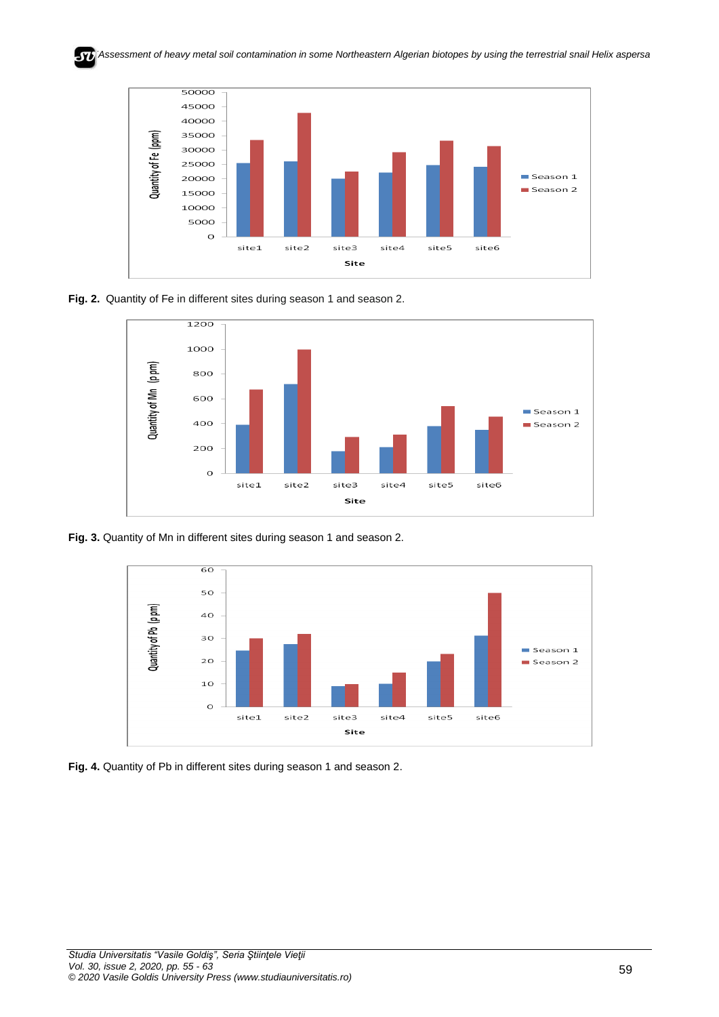*EAssessment of heavy metal soil contamination in some Northeastern Algerian biotopes by using the terrestrial snail Helix aspersa*



**Fig. 2.** Quantity of Fe in different sites during season 1 and season 2.



**Fig. 3.** Quantity of Mn in different sites during season 1 and season 2.



**Fig. 4.** Quantity of Pb in different sites during season 1 and season 2.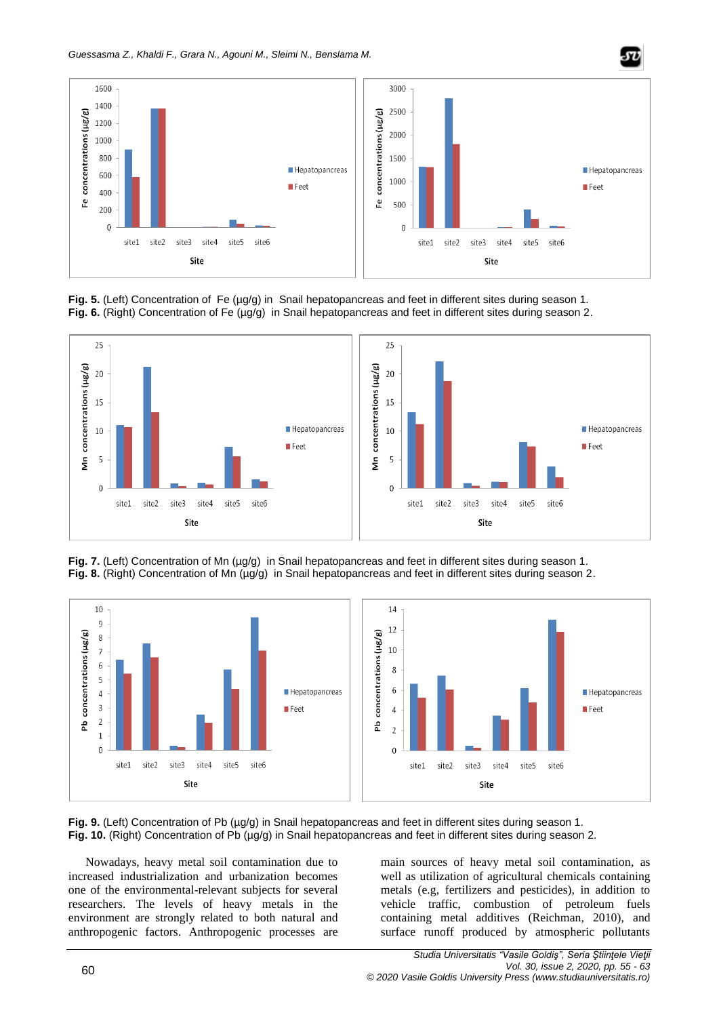

Fig. 5. (Left) Concentration of Fe (µg/g) in Snail hepatopancreas and feet in different sites during season 1. **Fig. 6.** (Right) Concentration of Fe (µg/g) in Snail hepatopancreas and feet in different sites during season 2.



Fig. 7. (Left) Concentration of Mn (µg/g) in Snail hepatopancreas and feet in different sites during season 1. Fig. 8. (Right) Concentration of Mn (µg/g) in Snail hepatopancreas and feet in different sites during season 2.



**Fig. 9.** (Left) Concentration of Pb ( $\mu$ g/g) in Snail hepatopancreas and feet in different sites during season 1. **Fig. 10.** (Right) Concentration of Pb (µg/g) in Snail hepatopancreas and feet in different sites during season 2.

Nowadays, heavy metal soil contamination due to increased industrialization and urbanization becomes one of the environmental-relevant subjects for several researchers. The levels of heavy metals in the environment are strongly related to both natural and anthropogenic factors. Anthropogenic processes are

main sources of heavy metal soil contamination, as well as utilization of agricultural chemicals containing metals (e.g, fertilizers and pesticides), in addition to vehicle traffic, combustion of petroleum fuels containing metal additives (Reichman, 2010), and surface runoff produced by atmospheric pollutants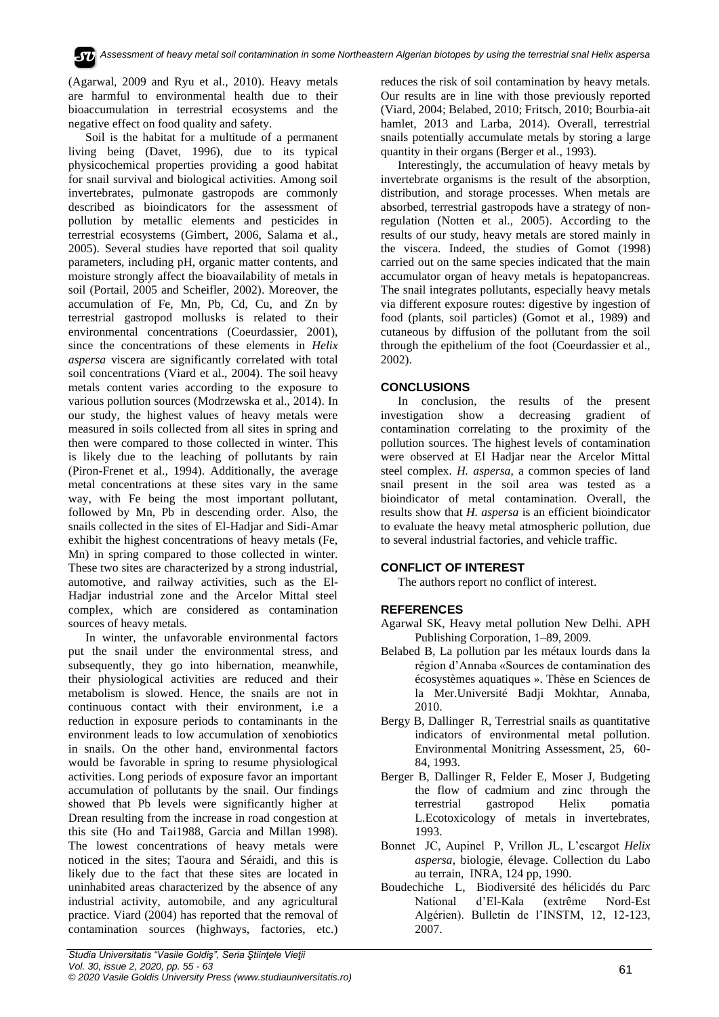(Agarwal, 2009 and Ryu et al., 2010). Heavy metals are harmful to environmental health due to their bioaccumulation in terrestrial ecosystems and the negative effect on food quality and safety.

Soil is the habitat for a multitude of a permanent living being (Davet, 1996), due to its typical physicochemical properties providing a good habitat for snail survival and biological activities. Among soil invertebrates, pulmonate gastropods are commonly described as bioindicators for the assessment of pollution by metallic elements and pesticides in terrestrial ecosystems (Gimbert, 2006, Salama et al., 2005). Several studies have reported that soil quality parameters, including pH, organic matter contents, and moisture strongly affect the bioavailability of metals in soil (Portail, 2005 and Scheifler, 2002). Moreover, the accumulation of Fe, Mn, Pb, Cd, Cu, and Zn by terrestrial gastropod mollusks is related to their environmental concentrations (Coeurdassier, 2001), since the concentrations of these elements in *Helix aspersa* viscera are significantly correlated with total soil concentrations (Viard et al., 2004). The soil heavy metals content varies according to the exposure to various pollution sources (Modrzewska et al., 2014). In our study, the highest values of heavy metals were measured in soils collected from all sites in spring and then were compared to those collected in winter. This is likely due to the leaching of pollutants by rain (Piron-Frenet et al., 1994). Additionally, the average metal concentrations at these sites vary in the same way, with Fe being the most important pollutant, followed by Mn, Pb in descending order. Also, the snails collected in the sites of El-Hadjar and Sidi-Amar exhibit the highest concentrations of heavy metals (Fe, Mn) in spring compared to those collected in winter. These two sites are characterized by a strong industrial, automotive, and railway activities, such as the El-Hadjar industrial zone and the Arcelor Mittal steel complex, which are considered as contamination sources of heavy metals.

In winter, the unfavorable environmental factors put the snail under the environmental stress, and subsequently, they go into hibernation, meanwhile, their physiological activities are reduced and their metabolism is slowed. Hence, the snails are not in continuous contact with their environment, i.e a reduction in exposure periods to contaminants in the environment leads to low accumulation of xenobiotics in snails. On the other hand, environmental factors would be favorable in spring to resume physiological activities. Long periods of exposure favor an important accumulation of pollutants by the snail. Our findings showed that Pb levels were significantly higher at Drean resulting from the increase in road congestion at this site (Ho and Tai1988, Garcia and Millan 1998). The lowest concentrations of heavy metals were noticed in the sites; Taoura and Séraidi, and this is likely due to the fact that these sites are located in uninhabited areas characterized by the absence of any industrial activity, automobile, and any agricultural practice. Viard (2004) has reported that the removal of contamination sources (highways, factories, etc.)

reduces the risk of soil contamination by heavy metals. Our results are in line with those previously reported (Viard, 2004; Belabed, 2010; Fritsch, 2010; Bourbia-ait hamlet, 2013 and Larba, 2014). Overall, terrestrial snails potentially accumulate metals by storing a large quantity in their organs (Berger et al., 1993).

Interestingly, the accumulation of heavy metals by invertebrate organisms is the result of the absorption, distribution, and storage processes. When metals are absorbed, terrestrial gastropods have a strategy of nonregulation (Notten et al., 2005). According to the results of our study, heavy metals are stored mainly in the viscera. Indeed, the studies of Gomot (1998) carried out on the same species indicated that the main accumulator organ of heavy metals is hepatopancreas. The snail integrates pollutants, especially heavy metals via different exposure routes: digestive by ingestion of food (plants, soil particles) (Gomot et al., 1989) and cutaneous by diffusion of the pollutant from the soil through the epithelium of the foot (Coeurdassier et al., 2002).

# **CONCLUSIONS**

In conclusion, the results of the present investigation show a decreasing gradient of contamination correlating to the proximity of the pollution sources. The highest levels of contamination were observed at El Hadjar near the Arcelor Mittal steel complex. *H. aspersa*, a common species of land snail present in the soil area was tested as a bioindicator of metal contamination. Overall, the results show that *H. aspersa* is an efficient bioindicator to evaluate the heavy metal atmospheric pollution, due to several industrial factories, and vehicle traffic.

# **CONFLICT OF INTEREST**

The authors report no conflict of interest.

# **REFERENCES**

- Agarwal SK, Heavy metal pollution New Delhi. APH Publishing Corporation, 1–89, 2009.
- Belabed B, La pollution par les métaux lourds dans la région d'Annaba «Sources de contamination des écosystèmes aquatiques ». Thèse en Sciences de la Mer.Université Badji Mokhtar, Annaba, 2010.
- Bergy B, Dallinger R, Terrestrial snails as quantitative indicators of environmental metal pollution. Environmental Monitring Assessment, 25, 60- 84, 1993.
- Berger B, Dallinger R, Felder E, Moser J, Budgeting the flow of cadmium and zinc through the terrestrial gastropod Helix pomatia L.Ecotoxicology of metals in invertebrates, 1993.
- Bonnet JC, Aupinel P, Vrillon JL, L'escargot *Helix aspersa*, biologie, élevage. Collection du Labo au terrain, INRA, 124 pp, 1990.
- Boudechiche L, Biodiversité des hélicidés du Parc National d'El-Kala (extrême Nord-Est Algérien). Bulletin de l'INSTM, 12, 12-123, 2007.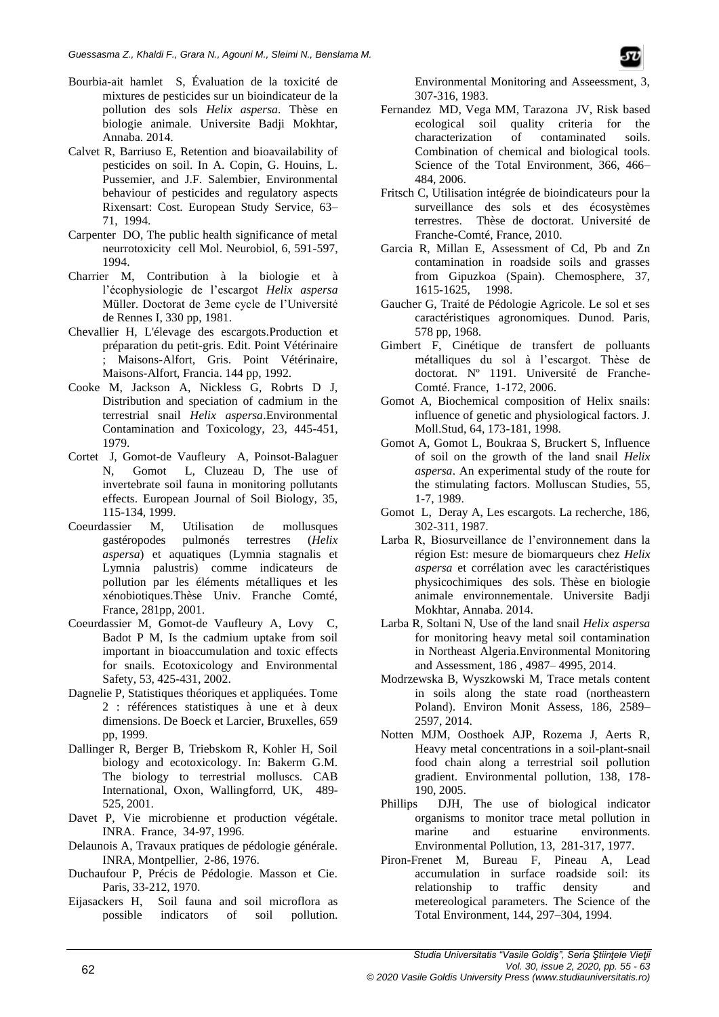- Bourbia-ait hamlet S, Évaluation de la toxicité de mixtures de pesticides sur un bioindicateur de la pollution des sols *Helix aspersa*. Thèse en biologie animale. Universite Badji Mokhtar, Annaba. 2014.
- Calvet R, Barriuso E, Retention and bioavailability of pesticides on soil. In A. Copin, G. Houins, L. Pussemier, and J.F. Salembier, Environmental behaviour of pesticides and regulatory aspects Rixensart: Cost. European Study Service, 63– 71, 1994.
- Carpenter DO, The public health significance of metal neurrotoxicity cell Mol. Neurobiol, 6, 591-597, 1994.
- Charrier M, Contribution à la biologie et à l'écophysiologie de l'escargot *Helix aspersa* Müller. Doctorat de 3eme cycle de l'Université de Rennes I, 330 pp, 1981.
- Chevallier H, L'élevage des escargots.Production et préparation du petit-gris. Edit. Point Vétérinaire ; Maisons-Alfort, Gris. Point Vétérinaire, Maisons-Alfort, Francia. 144 pp, 1992.
- Cooke M, Jackson A, Nickless G, Robrts D J, Distribution and speciation of cadmium in the terrestrial snail *Helix aspersa*.Environmental Contamination and Toxicology, 23, 445-451, 1979.
- Cortet J, Gomot-de Vaufleury A, Poinsot-Balaguer N, Gomot L, Cluzeau D, The use of invertebrate soil fauna in monitoring pollutants effects. European Journal of Soil Biology, 35, 115-134, 1999.
- Coeurdassier M, Utilisation de mollusques gastéropodes pulmonés terrestres (*Helix aspersa*) et aquatiques (Lymnia stagnalis et Lymnia palustris) comme indicateurs de pollution par les éléments métalliques et les xénobiotiques.Thèse Univ. Franche Comté, France, 281pp, 2001.
- Coeurdassier M, Gomot-de Vaufleury A, Lovy C, Badot P M, Is the cadmium uptake from soil important in bioaccumulation and toxic effects for snails. Ecotoxicology and Environmental Safety, 53, 425-431, 2002.
- Dagnelie P, Statistiques théoriques et appliquées. Tome 2 : références statistiques à une et à deux dimensions. De Boeck et Larcier, Bruxelles, 659 pp, 1999.
- Dallinger R, Berger B, Triebskom R, Kohler H, Soil biology and ecotoxicology. In: Bakerm G.M. The biology to terrestrial molluscs. CAB International, Oxon, Wallingforrd, UK, 489- 525, 2001.
- Davet P, Vie microbienne et production végétale. INRA. France, 34-97, 1996.
- Delaunois A, Travaux pratiques de pédologie générale. INRA, Montpellier, 2-86, 1976.
- Duchaufour P, Précis de Pédologie. Masson et Cie. Paris, 33-212, 1970.
- Eijasackers H, Soil fauna and soil microflora as possible indicators of soil pollution.

Environmental Monitoring and Asseessment, 3, 307-316, 1983.

- Fernandez MD, Vega MM, Tarazona JV, Risk based ecological soil quality criteria for the<br>characterization of contaminated soils. characterization of contaminated soils. Combination of chemical and biological tools. Science of the Total Environment, 366, 466– 484, 2006.
- Fritsch C, Utilisation intégrée de bioindicateurs pour la surveillance des sols et des écosystèmes terrestres. Thèse de doctorat. Université de Franche-Comté, France, 2010.
- Garcia R, Millan E, Assessment of Cd, Pb and Zn contamination in roadside soils and grasses from Gipuzkoa (Spain). Chemosphere, 37, 1615-1625, 1998.
- Gaucher G, Traité de Pédologie Agricole. Le sol et ses caractéristiques agronomiques. Dunod. Paris, 578 pp, 1968.
- Gimbert F, Cinétique de transfert de polluants métalliques du sol à l'escargot. Thèse de doctorat. Nº 1191. Université de Franche-Comté. France, 1-172, 2006.
- Gomot A, Biochemical composition of Helix snails: influence of genetic and physiological factors. J. Moll.Stud, 64, 173-181, 1998.
- Gomot A, Gomot L, Boukraa S, Bruckert S, Influence of soil on the growth of the land snail *Helix aspersa*. An experimental study of the route for the stimulating factors. Molluscan Studies, 55, 1-7, 1989.
- Gomot L, Deray A, Les escargots. La recherche, 186, 302-311, 1987.
- Larba R, Biosurveillance de l'environnement dans la région Est: mesure de biomarqueurs chez *Helix aspersa* et corrélation avec les caractéristiques physicochimiques des sols. Thèse en biologie animale environnementale. Universite Badji Mokhtar, Annaba. 2014.
- Larba R, Soltani N, Use of the land snail *Helix aspersa* for monitoring heavy metal soil contamination in Northeast Algeria.Environmental Monitoring and Assessment, 186 , 4987– 4995, 2014.
- Modrzewska B, Wyszkowski M, Trace metals content in soils along the state road (northeastern Poland). Environ Monit Assess, 186, 2589– 2597, 2014.
- Notten MJM, Oosthoek AJP, Rozema J, Aerts R, Heavy metal concentrations in a soil-plant-snail food chain along a terrestrial soil pollution gradient. Environmental pollution, 138, 178- 190, 2005.
- Phillips DJH, The use of biological indicator organisms to monitor trace metal pollution in marine and estuarine environments. Environmental Pollution, 13, 281-317, 1977.
- Piron-Frenet M, Bureau F, Pineau A, Lead accumulation in surface roadside soil: its relationship to traffic density and metereological parameters. The Science of the Total Environment, 144, 297–304, 1994.